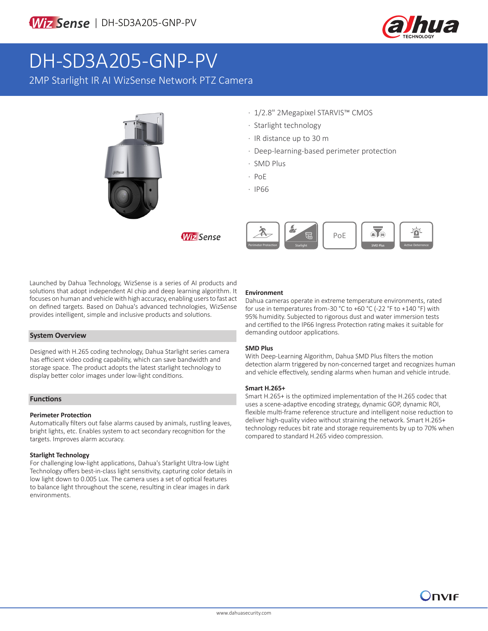



# DH-SD3A205-GNP-PV

2MP Starlight IR AI WizSense Network PTZ Camera



- · 1/2.8" 2Megapixel STARVIS™ CMOS
- · Starlight technology
- · IR distance up to 30 m
- · Deep-learning-based perimeter protection
- · SMD Plus
- · PoE
- · IP66

**Wiz Sense** 



Launched by Dahua Technology, WizSense is a series of AI products and solutions that adopt independent AI chip and deep learning algorithm. It focuses on human and vehicle with high accuracy, enabling users to fast act on defined targets. Based on Dahua's advanced technologies, WizSense provides intelligent, simple and inclusive products and solutions.

#### **System Overview**

Designed with H.265 coding technology, Dahua Starlight series camera has efficient video coding capability, which can save bandwidth and storage space. The product adopts the latest starlight technology to display better color images under low-light conditions.

#### **Functions**

#### **Perimeter Protection**

Automatically filters out false alarms caused by animals, rustling leaves, bright lights, etc. Enables system to act secondary recognition for the targets. Improves alarm accuracy.

#### **Starlight Technology**

For challenging low-light applications, Dahua's Starlight Ultra-low Light Technology offers best-in-class light sensitivity, capturing color details in low light down to 0.005 Lux. The camera uses a set of optical features to balance light throughout the scene, resulting in clear images in dark environments.

#### **Environment**

Dahua cameras operate in extreme temperature environments, rated for use in temperatures from -30 °C to +60 °C (-22 °F to +140 °F) with 95% humidity. Subjected to rigorous dust and water immersion tests and certified to the IP66 Ingress Protection rating makes it suitable for demanding outdoor applications.

#### **SMD Plus**

With Deep-Learning Algorithm, Dahua SMD Plus filters the motion detection alarm triggered by non-concerned target and recognizes human and vehicle effectively, sending alarms when human and vehicle intrude.

#### **Smart H.265+**

Smart H.265+ is the optimized implementation of the H.265 codec that uses a scene-adaptive encoding strategy, dynamic GOP, dynamic ROI, flexible multi-frame reference structure and intelligent noise reduction to deliver high-quality video without straining the network. Smart H.265+ technology reduces bit rate and storage requirements by up to 70% when compared to standard H.265 video compression.

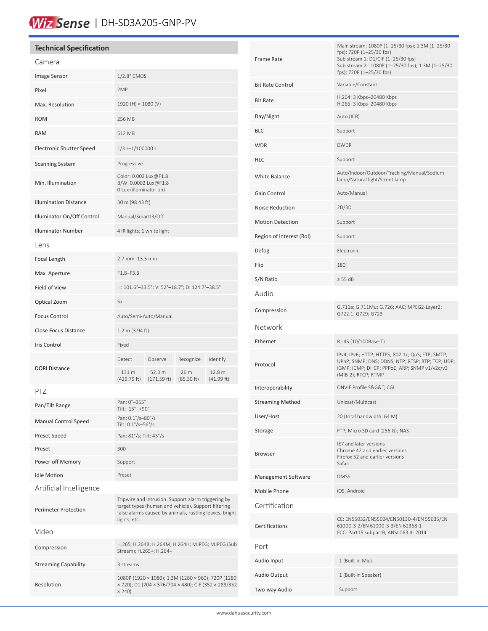# Wiz Sense | DH-SD3A205-GNP-PV

#### **Technical Specification** Camera Image Sensor 1/2.8" CMOS Pixel 2MP Max. Resolution 1920 (H) × 1080 (V) ROM 256 MB RAM 512 MB Electronic Shutter Speed 1/3 s-1/100000 s Scanning System Progressive Min. Illumination Color: 0.002 Lux@F1.8 B/W: 0.0002 Lux@F1.8 0 Lux (illuminator on) Illumination Distance 30 m (98.43 ft) Illuminator On/Off Control Manual/SmartIR/Off Illuminator Number 4 IR lights; 1 white light Lens Focal Length 2.7 mm–13.5 mm Max. Aperture F1.8–F3.3 Field of View H: 101.6°–33.5°; V: 52°–18.7°; D: 124.7°–38.5° Optical Zoom 5x Focus Control **Auto/Semi-Auto/Manual** Close Focus Distance 1.2 m (3.94 ft) Iris Control Fixed DORI Distance Detect Observe Recognize Identify 131 m (429.79 ft) 52.3 m (171.59 ft) 26 m (85.30 ft) 12.8 m (41.99 ft) PTZ Pan/Tilt Range Pan: 0°–355° Tilt: -15°–+90° Manual Control Speed<br>Pan: 0.1°/s–80°/s Tilt: 0.1°/s–56°/s Preset Speed Pan: 81°/s; Tilt: 43°/s Preset 300 Power-off Memory Support Idle Motion **Preset** Artificial Intelligence Perimeter Protection Tripwire and intrusion. Support alarm triggering by target types (human and vehicle). Support filtering false alarms caused by animals, rustling leaves, bright lights, etc. Video Compression H.265; H.264B; H.264M; H.264H; MJPEG; MJPEG (Sub Stream); H.265+; H.264+ Streaming Capability 3 streams Resolution 1080P (1920 × 1080); 1.3M (1280 × 960); 720P (1280 × 720); D1 (704 × 576/704 × 480); CIF (352 × 288/352  $\times$  240) Bit Rate H.264: 3 Kbps–20480 Kbps H.265: 3 Kbps–20480 Kbps Day/Night Auto (ICR) BLC Support WDR DWDR DWDR HLC Support White Balance Auto/Indoor/Outdoor/Tracking/Manual/Sodium lamp/Natural light/Street lamp Gain Control **Auto/Manual** Noise Reduction 2D/3D Motion Detection Support Region of Interest (RoI) Support Defog Electronic Flip 180°  $S/N$  Ratio  $\geq 55$  dB Audio Compression G.711a; G.711Mu; G.726; AAC; MPEG2-Layer2; G722.1; G729; G723 Network Ethernet RJ-45 (10/100Base-T) Protocol IPv4; IPv6; HTTP; HTTPS; 802.1x; QoS; FTP; SMTP; UPnP; SNMP; DNS; DDNS; NTP; RTSP; RTP; TCP; UDP; IGMP; ICMP; DHCP; PPPoE; ARP; SNMP v1/v2c/v3 (MIB-2); RTCP; RTMP Interoperability ONVIF Profile S&G&T; CGI Streaming Method Unicast/Multicast User/Host 20 (total bandwidth: 64 M) Storage FTP; Micro SD card (256 G); NAS Browser IE7 and later versions Chrome 42 and earlier versions Firefox 52 and earlier versions Safari Management Software DMSS Mobile Phone iOS, Android Certification Certifications CE: EN55032/EN55024/EN50130-4/EN 55035/EN 61000-3-2/EN 61000-3-3/EN 62368-1 FCC: Part15 subpartB, ANSI C63.4- 2014 Frame Rate Main stream: 1080P (1–25/30 fps); 1.3M (1–25/30 fps); 720P (1–25/30 fps) Sub stream 1: D1/CIF (1–25/30 fps) Sub stream 2: 1080P (1–25/30 fps); 1.3M (1–25/30 fps); 720P (1–25/30 fps) Bit Rate Control Variable/Constant Port Audio Input 1 (Built-in Mic) Audio Output 1 (Built-in Speaker) Two-way Audio Support